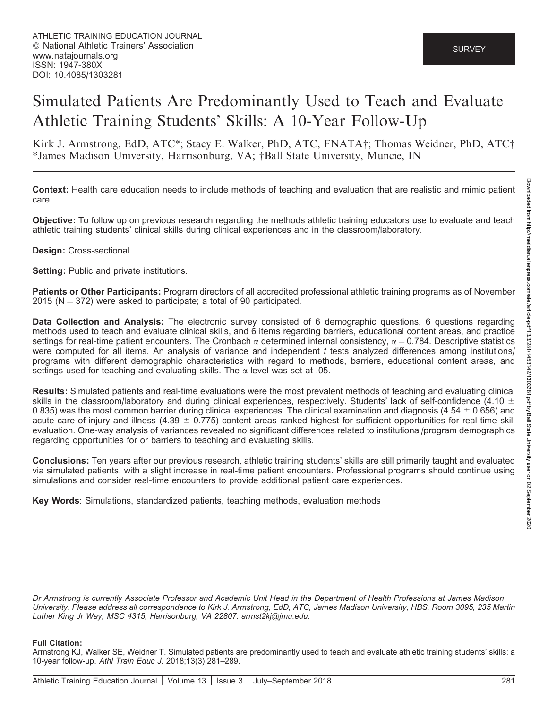# Simulated Patients Are Predominantly Used to Teach and Evaluate Athletic Training Students' Skills: A 10-Year Follow-Up

Kirk J. Armstrong, EdD, ATC\*; Stacy E. Walker, PhD, ATC, FNATA†; Thomas Weidner, PhD, ATC† \*James Madison University, Harrisonburg, VA; †Ball State University, Muncie, IN

Context: Health care education needs to include methods of teaching and evaluation that are realistic and mimic patient care.

Objective: To follow up on previous research regarding the methods athletic training educators use to evaluate and teach athletic training students' clinical skills during clinical experiences and in the classroom/laboratory.

#### Design: Cross-sectional.

Setting: Public and private institutions.

Patients or Other Participants: Program directors of all accredited professional athletic training programs as of November 2015 ( $N = 372$ ) were asked to participate; a total of 90 participated.

Data Collection and Analysis: The electronic survey consisted of 6 demographic questions, 6 questions regarding methods used to teach and evaluate clinical skills, and 6 items regarding barriers, educational content areas, and practice settings for real-time patient encounters. The Cronbach  $\alpha$  determined internal consistency,  $\alpha = 0.784$ . Descriptive statistics were computed for all items. An analysis of variance and independent  $t$  tests analyzed differences among institutions/ programs with different demographic characteristics with regard to methods, barriers, educational content areas, and settings used for teaching and evaluating skills. The  $\alpha$  level was set at .05.

Results: Simulated patients and real-time evaluations were the most prevalent methods of teaching and evaluating clinical skills in the classroom/laboratory and during clinical experiences, respectively. Students' lack of self-confidence (4.10  $\pm$ 0.835) was the most common barrier during clinical experiences. The clinical examination and diagnosis (4.54  $\pm$  0.656) and acute care of injury and illness (4.39  $\pm$  0.775) content areas ranked highest for sufficient opportunities for real-time skill evaluation. One-way analysis of variances revealed no significant differences related to institutional/program demographics regarding opportunities for or barriers to teaching and evaluating skills.

Conclusions: Ten years after our previous research, athletic training students' skills are still primarily taught and evaluated via simulated patients, with a slight increase in real-time patient encounters. Professional programs should continue using simulations and consider real-time encounters to provide additional patient care experiences.

Key Words: Simulations, standardized patients, teaching methods, evaluation methods

Dr Armstrong is currently Associate Professor and Academic Unit Head in the Department of Health Professions at James Madison University. Please address all correspondence to Kirk J. Armstrong, EdD, ATC, James Madison University, HBS, Room 3095, 235 Martin Luther King Jr Way, MSC 4315, Harrisonburg, VA 22807. armst2kj@jmu.edu.

#### Full Citation:

Armstrong KJ, Walker SE, Weidner T. Simulated patients are predominantly used to teach and evaluate athletic training students' skills: a 10-year follow-up. Athl Train Educ J. 2018;13(3):281–289.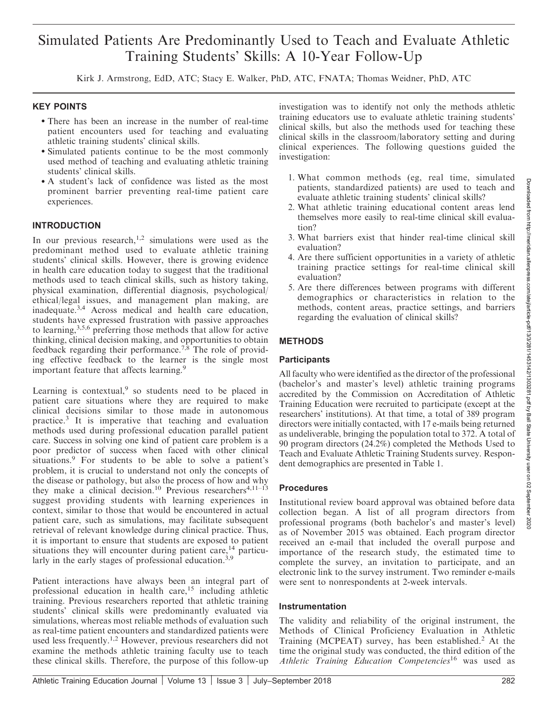# Simulated Patients Are Predominantly Used to Teach and Evaluate Athletic Training Students' Skills: A 10-Year Follow-Up

Kirk J. Armstrong, EdD, ATC; Stacy E. Walker, PhD, ATC, FNATA; Thomas Weidner, PhD, ATC

#### KEY POINTS

- There has been an increase in the number of real-time patient encounters used for teaching and evaluating athletic training students' clinical skills.
- Simulated patients continue to be the most commonly used method of teaching and evaluating athletic training students' clinical skills.
- A student's lack of confidence was listed as the most prominent barrier preventing real-time patient care experiences.

#### INTRODUCTION

In our previous research,<sup>1,2</sup> simulations were used as the predominant method used to evaluate athletic training students' clinical skills. However, there is growing evidence in health care education today to suggest that the traditional methods used to teach clinical skills, such as history taking, physical examination, differential diagnosis, psychological/ ethical/legal issues, and management plan making, are inadequate.3,4 Across medical and health care education, students have expressed frustration with passive approaches to learning,3,5,6 preferring those methods that allow for active thinking, clinical decision making, and opportunities to obtain feedback regarding their performance.<sup>7,8</sup> The role of providing effective feedback to the learner is the single most important feature that affects learning.<sup>9</sup>

Learning is contextual, $9$  so students need to be placed in patient care situations where they are required to make clinical decisions similar to those made in autonomous practice.<sup>3</sup> It is imperative that teaching and evaluation methods used during professional education parallel patient care. Success in solving one kind of patient care problem is a poor predictor of success when faced with other clinical situations.<sup>9</sup> For students to be able to solve a patient's problem, it is crucial to understand not only the concepts of the disease or pathology, but also the process of how and why they make a clinical decision.<sup>10</sup> Previous researchers<sup>4,11-13</sup> suggest providing students with learning experiences in context, similar to those that would be encountered in actual patient care, such as simulations, may facilitate subsequent retrieval of relevant knowledge during clinical practice. Thus, it is important to ensure that students are exposed to patient situations they will encounter during patient care,<sup>14</sup> particularly in the early stages of professional education.3,9

Patient interactions have always been an integral part of professional education in health care,<sup>15</sup> including athletic training. Previous researchers reported that athletic training students' clinical skills were predominantly evaluated via simulations, whereas most reliable methods of evaluation such as real-time patient encounters and standardized patients were used less frequently.<sup>1,2</sup> However, previous researchers did not examine the methods athletic training faculty use to teach these clinical skills. Therefore, the purpose of this follow-up

investigation was to identify not only the methods athletic training educators use to evaluate athletic training students' clinical skills, but also the methods used for teaching these clinical skills in the classroom/laboratory setting and during clinical experiences. The following questions guided the investigation:

- 1. What common methods (eg, real time, simulated patients, standardized patients) are used to teach and evaluate athletic training students' clinical skills?
- 2. What athletic training educational content areas lend themselves more easily to real-time clinical skill evaluation?
- 3. What barriers exist that hinder real-time clinical skill evaluation?
- 4. Are there sufficient opportunities in a variety of athletic training practice settings for real-time clinical skill evaluation?
- 5. Are there differences between programs with different demographics or characteristics in relation to the methods, content areas, practice settings, and barriers regarding the evaluation of clinical skills?

# METHODS

#### **Participants**

All faculty who were identified as the director of the professional (bachelor's and master's level) athletic training programs accredited by the Commission on Accreditation of Athletic Training Education were recruited to participate (except at the researchers' institutions). At that time, a total of 389 program directors were initially contacted, with 17 e-mails being returned as undeliverable, bringing the population total to 372. A total of 90 program directors (24.2%) completed the Methods Used to Teach and Evaluate Athletic Training Students survey. Respondent demographics are presented in Table 1.

#### **Procedures**

Institutional review board approval was obtained before data collection began. A list of all program directors from professional programs (both bachelor's and master's level) as of November 2015 was obtained. Each program director received an e-mail that included the overall purpose and importance of the research study, the estimated time to complete the survey, an invitation to participate, and an electronic link to the survey instrument. Two reminder e-mails were sent to nonrespondents at 2-week intervals.

#### Instrumentation

The validity and reliability of the original instrument, the Methods of Clinical Proficiency Evaluation in Athletic Training (MCPEAT) survey, has been established.<sup>2</sup> At the time the original study was conducted, the third edition of the Athletic Training Education Competencies<sup>16</sup> was used as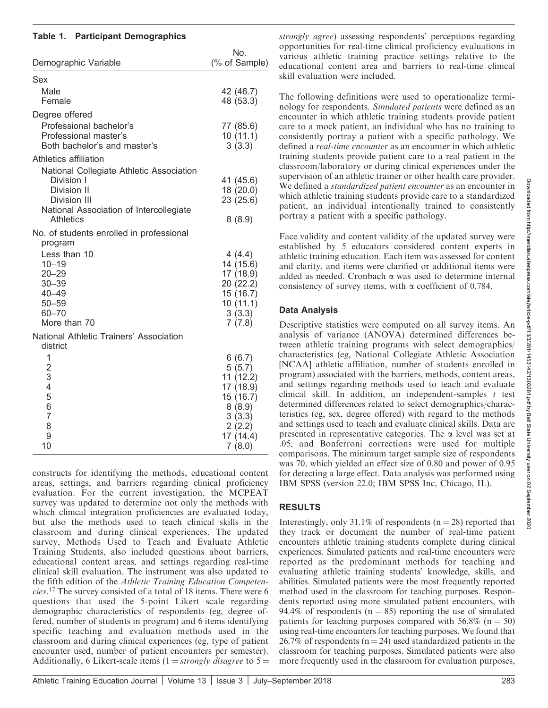#### Table 1. Participant Demographics

| Demographic Variable                                                                                                                                             | No.<br>(% of Sample)                                                                                        |
|------------------------------------------------------------------------------------------------------------------------------------------------------------------|-------------------------------------------------------------------------------------------------------------|
| Sex                                                                                                                                                              |                                                                                                             |
| Male<br>Female                                                                                                                                                   | 42 (46.7)<br>48 (53.3)                                                                                      |
| Degree offered                                                                                                                                                   |                                                                                                             |
| Professional bachelor's<br>Professional master's<br>Both bachelor's and master's                                                                                 | 77 (85.6)<br>10(11.1)<br>3(3.3)                                                                             |
| Athletics affiliation                                                                                                                                            |                                                                                                             |
| National Collegiate Athletic Association<br>Division I<br>Division II<br>Division III<br>National Association of Intercollegiate<br>Athletics                    | 41 (45.6)<br>18 (20.0)<br>23 (25.6)<br>8(8.9)                                                               |
| No. of students enrolled in professional                                                                                                                         |                                                                                                             |
| program<br>Less than 10<br>$10 - 19$<br>$20 - 29$<br>$30 - 39$<br>$40 - 49$<br>$50 - 59$<br>$60 - 70$<br>More than 70<br>National Athletic Trainers' Association | 4(4.4)<br>14 (15.6)<br>17(18.9)<br>20 (22.2)<br>15 (16.7)<br>10(11.1)<br>3(3.3)<br>7(7.8)                   |
| district                                                                                                                                                         |                                                                                                             |
| 1<br>$\overline{c}$<br>3<br>$\overline{\mathcal{L}}$<br>5<br>6<br>$\overline{7}$<br>8<br>9<br>10                                                                 | 6(6.7)<br>5(5.7)<br>11(12.2)<br>17 (18.9)<br>15 (16.7)<br>8(8.9)<br>3(3.3)<br>2(2.2)<br>17 (14.4)<br>7(8.0) |

constructs for identifying the methods, educational content areas, settings, and barriers regarding clinical proficiency evaluation. For the current investigation, the MCPEAT survey was updated to determine not only the methods with which clinical integration proficiencies are evaluated today, but also the methods used to teach clinical skills in the classroom and during clinical experiences. The updated survey, Methods Used to Teach and Evaluate Athletic Training Students, also included questions about barriers, educational content areas, and settings regarding real-time clinical skill evaluation. The instrument was also updated to the fifth edition of the Athletic Training Education Competencies.<sup>17</sup> The survey consisted of a total of 18 items. There were 6 questions that used the 5-point Likert scale regarding demographic characteristics of respondents (eg, degree offered, number of students in program) and 6 items identifying specific teaching and evaluation methods used in the classroom and during clinical experiences (eg, type of patient encounter used, number of patient encounters per semester). Additionally, 6 Likert-scale items  $(1 = \frac{strongly}{disagree}$  to  $5 =$ 

strongly agree) assessing respondents' perceptions regarding opportunities for real-time clinical proficiency evaluations in various athletic training practice settings relative to the educational content area and barriers to real-time clinical skill evaluation were included.

The following definitions were used to operationalize terminology for respondents. Simulated patients were defined as an encounter in which athletic training students provide patient care to a mock patient, an individual who has no training to consistently portray a patient with a specific pathology. We defined a real-time encounter as an encounter in which athletic training students provide patient care to a real patient in the classroom/laboratory or during clinical experiences under the supervision of an athletic trainer or other health care provider. We defined a *standardized patient encounter* as an encounter in which athletic training students provide care to a standardized patient, an individual intentionally trained to consistently portray a patient with a specific pathology.

Face validity and content validity of the updated survey were established by 5 educators considered content experts in athletic training education. Each item was assessed for content and clarity, and items were clarified or additional items were added as needed. Cronbach a was used to determine internal consistency of survey items, with  $\alpha$  coefficient of 0.784.

# Data Analysis

Descriptive statistics were computed on all survey items. An analysis of variance (ANOVA) determined differences between athletic training programs with select demographics/ characteristics (eg, National Collegiate Athletic Association [NCAA] athletic affiliation, number of students enrolled in program) associated with the barriers, methods, content areas, and settings regarding methods used to teach and evaluate clinical skill. In addition, an independent-samples  $t$  test determined differences related to select demographics/characteristics (eg, sex, degree offered) with regard to the methods and settings used to teach and evaluate clinical skills. Data are presented in representative categories. The  $\alpha$  level was set at .05, and Bonferroni corrections were used for multiple comparisons. The minimum target sample size of respondents was 70, which yielded an effect size of 0.80 and power of 0.95 for detecting a large effect. Data analysis was performed using IBM SPSS (version 22.0; IBM SPSS Inc, Chicago, IL).

# RESULTS

Interestingly, only 31.1% of respondents ( $n = 28$ ) reported that they track or document the number of real-time patient encounters athletic training students complete during clinical experiences. Simulated patients and real-time encounters were reported as the predominant methods for teaching and evaluating athletic training students' knowledge, skills, and abilities. Simulated patients were the most frequently reported method used in the classroom for teaching purposes. Respondents reported using more simulated patient encounters, with 94.4% of respondents ( $n = 85$ ) reporting the use of simulated patients for teaching purposes compared with 56.8% ( $n = 50$ ) using real-time encounters for teaching purposes. We found that 26.7% of respondents ( $n = 24$ ) used standardized patients in the classroom for teaching purposes. Simulated patients were also more frequently used in the classroom for evaluation purposes,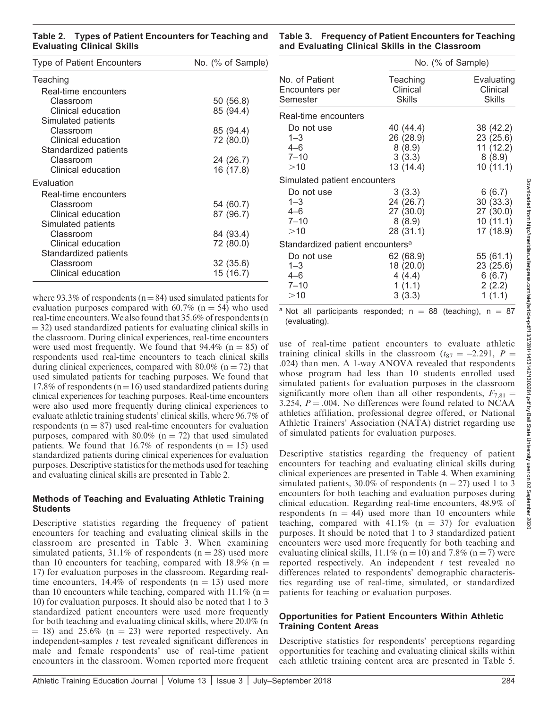| Type of Patient Encounters | No. (% of Sample) |
|----------------------------|-------------------|
| Teaching                   |                   |
| Real-time encounters       |                   |
| Classroom                  | 50 (56.8)         |
| Clinical education         | 85 (94.4)         |
| Simulated patients         |                   |
| Classroom                  | 85 (94.4)         |
| Clinical education         | 72 (80.0)         |
| Standardized patients      |                   |
| Classroom                  | 24 (26.7)         |
| Clinical education         | 16 (17.8)         |
| Evaluation                 |                   |
| Real-time encounters       |                   |
| Classroom                  | 54 (60.7)         |
| Clinical education         | 87 (96.7)         |
| Simulated patients         |                   |
| Classroom                  | 84 (93.4)         |
| Clinical education         | 72 (80.0)         |
| Standardized patients      |                   |
| Classroom                  | 32 (35.6)         |
| Clinical education         | 15 (16.7)         |

where 93.3% of respondents ( $n=84$ ) used simulated patients for evaluation purposes compared with  $60.7\%$  (n = 54) who used real-time encounters.We also found that 35.6% of respondents (n  $=$  32) used standardized patients for evaluating clinical skills in the classroom. During clinical experiences, real-time encounters were used most frequently. We found that  $94.4\%$  (n = 85) of respondents used real-time encounters to teach clinical skills during clinical experiences, compared with  $80.0\%$  (n = 72) that used simulated patients for teaching purposes. We found that 17.8% of respondents ( $n=16$ ) used standardized patients during clinical experiences for teaching purposes. Real-time encounters were also used more frequently during clinical experiences to evaluate athletic training students' clinical skills, where 96.7% of respondents ( $n = 87$ ) used real-time encounters for evaluation purposes, compared with 80.0% ( $n = 72$ ) that used simulated patients. We found that 16.7% of respondents ( $n = 15$ ) used standardized patients during clinical experiences for evaluation purposes. Descriptive statistics for the methods used for teaching and evaluating clinical skills are presented in Table 2.

#### Methods of Teaching and Evaluating Athletic Training **Students**

Descriptive statistics regarding the frequency of patient encounters for teaching and evaluating clinical skills in the classroom are presented in Table 3. When examining simulated patients,  $31.1\%$  of respondents (n = 28) used more than 10 encounters for teaching, compared with  $18.9\%$  (n = 17) for evaluation purposes in the classroom. Regarding realtime encounters,  $14.4\%$  of respondents (n = 13) used more than 10 encounters while teaching, compared with  $11.1\%$  (n = 10) for evaluation purposes. It should also be noted that 1 to 3 standardized patient encounters were used more frequently for both teaching and evaluating clinical skills, where 20.0% (n  $=$  18) and 25.6% (n  $=$  23) were reported respectively. An encounters in the classroom. Women reported more frequent

Table 3. Frequency of Patient Encounters for Teaching and Evaluating Clinical Skills in the Classroom

|                                              | No. (% of Sample) |            |  |  |  |
|----------------------------------------------|-------------------|------------|--|--|--|
| No. of Patient                               | Teaching          | Evaluating |  |  |  |
| Encounters per                               | Clinical          | Clinical   |  |  |  |
| Semester                                     | Skills            | Skills     |  |  |  |
| Real-time encounters                         |                   |            |  |  |  |
| Do not use                                   | 40 (44.4)         | 38 (42.2)  |  |  |  |
| $1 - 3$                                      | 26 (28.9)         | 23 (25.6)  |  |  |  |
| $4 - 6$                                      | 8(8.9)            | 11(12.2)   |  |  |  |
| $7 - 10$                                     | 3(3.3)            | 8(8.9)     |  |  |  |
| >10                                          | 13 (14.4)         | 10(11.1)   |  |  |  |
| Simulated patient encounters                 |                   |            |  |  |  |
| Do not use                                   | 3(3.3)            | 6(6.7)     |  |  |  |
| $1 - 3$                                      | 24 (26.7)         | 30(33.3)   |  |  |  |
| $4 - 6$                                      | 27 (30.0)         | 27 (30.0)  |  |  |  |
| $7 - 10$                                     | 8(8.9)            | 10(11.1)   |  |  |  |
| >10                                          | 28 (31.1)         | 17 (18.9)  |  |  |  |
| Standardized patient encounters <sup>a</sup> |                   |            |  |  |  |
| Do not use                                   | 62 (68.9)         | 55 (61.1)  |  |  |  |
| $1 - 3$                                      | 18 (20.0)         | 23(25.6)   |  |  |  |
| $4 - 6$                                      | 4(4.4)            | 6(6.7)     |  |  |  |
| $7 - 10$                                     | 1(1.1)            | 2(2.2)     |  |  |  |
| >10                                          | 3(3.3)            | 1(1.1)     |  |  |  |

<sup>a</sup> Not all participants responded;  $n = 88$  (teaching),  $n = 87$ (evaluating).

use of real-time patient encounters to evaluate athletic training clinical skills in the classroom ( $t_{87} = -2.291$ ,  $P =$ .024) than men. A 1-way ANOVA revealed that respondents whose program had less than 10 students enrolled used simulated patients for evaluation purposes in the classroom significantly more often than all other respondents,  $F_{7,81} =$ 3.254,  $P = .004$ . No differences were found related to NCAA athletics affiliation, professional degree offered, or National Athletic Trainers' Association (NATA) district regarding use of simulated patients for evaluation purposes.

Descriptive statistics regarding the frequency of patient encounters for teaching and evaluating clinical skills during clinical experiences are presented in Table 4. When examining simulated patients, 30.0% of respondents ( $n = 27$ ) used 1 to 3 encounters for both teaching and evaluation purposes during clinical education. Regarding real-time encounters, 48.9% of respondents ( $n = 44$ ) used more than 10 encounters while teaching, compared with  $41.1\%$  (n = 37) for evaluation purposes. It should be noted that 1 to 3 standardized patient encounters were used more frequently for both teaching and evaluating clinical skills,  $11.1\%$  (n = 10) and 7.8% (n = 7) were reported respectively. An independent  $t$  test revealed no differences related to respondents' demographic characteristics regarding use of real-time, simulated, or standardized patients for teaching or evaluation purposes.

#### Opportunities for Patient Encounters Within Athletic Training Content Areas

Descriptive statistics for respondents' perceptions regarding opportunities for teaching and evaluating clinical skills within each athletic training content area are presented in Table 5.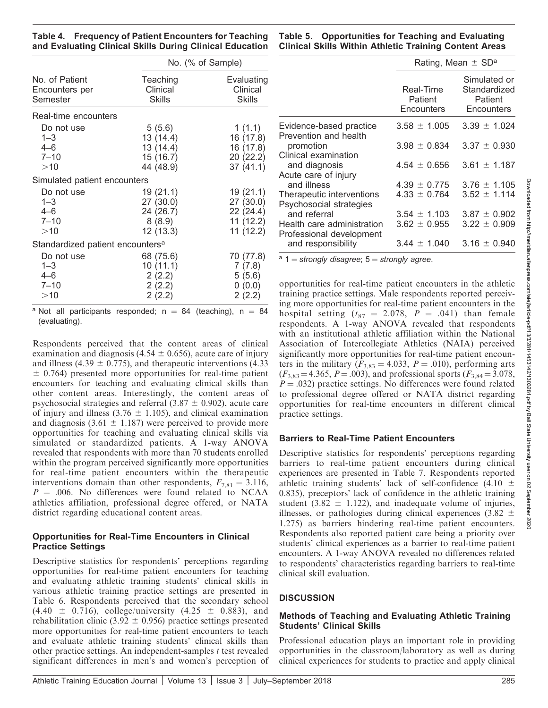Table 4. Frequency of Patient Encounters for Teaching and Evaluating Clinical Skills During Clinical Education

|                                              |               | No. (% of Sample) |  |  |  |
|----------------------------------------------|---------------|-------------------|--|--|--|
| No. of Patient                               | Teaching      | Evaluating        |  |  |  |
| Encounters per                               | Clinical      | Clinical          |  |  |  |
| Semester                                     | <b>Skills</b> | <b>Skills</b>     |  |  |  |
| Real-time encounters                         |               |                   |  |  |  |
| Do not use                                   | 5(5.6)        | 1(1.1)            |  |  |  |
| $1 - 3$                                      | 13 (14.4)     | 16 (17.8)         |  |  |  |
| $4 - 6$                                      | 13 (14.4)     | 16 (17.8)         |  |  |  |
| $7 - 10$                                     | 15 (16.7)     | 20 (22.2)         |  |  |  |
| >10                                          | 44 (48.9)     | 37(41.1)          |  |  |  |
| Simulated patient encounters                 |               |                   |  |  |  |
| Do not use                                   | 19(21.1)      | 19 (21.1)         |  |  |  |
| $1 - 3$                                      | 27 (30.0)     | 27 (30.0)         |  |  |  |
| $4 - 6$                                      | 24 (26.7)     | 22 (24.4)         |  |  |  |
| $7 - 10$                                     | 8(8.9)        | 11 (12.2)         |  |  |  |
| >10                                          | 12 (13.3)     | 11(12.2)          |  |  |  |
| Standardized patient encounters <sup>a</sup> |               |                   |  |  |  |
| Do not use                                   | 68 (75.6)     | 70 (77.8)         |  |  |  |
| $1 - 3$                                      | 10(11.1)      | 7(7.8)            |  |  |  |
| $4 - 6$                                      | 2(2.2)        | 5(5.6)            |  |  |  |
| $7 - 10$                                     | 2(2.2)        | 0(0.0)            |  |  |  |
| >10                                          | 2(2.2)        | 2(2.2)            |  |  |  |

<sup>a</sup> Not all participants responded; n = 84 (teaching), n = 84 (evaluating).

Respondents perceived that the content areas of clinical examination and diagnosis (4.54  $\pm$  0.656), acute care of injury and illness (4.39  $\pm$  0.775), and therapeutic interventions (4.33  $\pm$  0.764) presented more opportunities for real-time patient encounters for teaching and evaluating clinical skills than other content areas. Interestingly, the content areas of psychosocial strategies and referral  $(3.87 \pm 0.902)$ , acute care of injury and illness (3.76  $\pm$  1.105), and clinical examination and diagnosis (3.61  $\pm$  1.187) were perceived to provide more opportunities for teaching and evaluating clinical skills via simulated or standardized patients. A 1-way ANOVA revealed that respondents with more than 70 students enrolled within the program perceived significantly more opportunities for real-time patient encounters within the therapeutic interventions domain than other respondents,  $F_{7,81} = 3.116$ ,  $P = .006$ . No differences were found related to NCAA athletics affiliation, professional degree offered, or NATA district regarding educational content areas.

#### Opportunities for Real-Time Encounters in Clinical Practice Settings

Descriptive statistics for respondents' perceptions regarding opportunities for real-time patient encounters for teaching and evaluating athletic training students' clinical skills in various athletic training practice settings are presented in Table 6. Respondents perceived that the secondary school  $(4.40 \pm 0.716)$ , college/university  $(4.25 \pm 0.883)$ , and rehabilitation clinic (3.92  $\pm$  0.956) practice settings presented more opportunities for real-time patient encounters to teach and evaluate athletic training students' clinical skills than other practice settings. An independent-samples  $t$  test revealed significant differences in men's and women's perception of

Table 5. Opportunities for Teaching and Evaluating Clinical Skills Within Athletic Training Content Areas

|                                                        | Rating, Mean $\pm$ SD <sup>a</sup> |                                                       |  |  |  |
|--------------------------------------------------------|------------------------------------|-------------------------------------------------------|--|--|--|
|                                                        | Real-Time<br>Patient<br>Encounters | Simulated or<br>Standardized<br>Patient<br>Encounters |  |  |  |
| Evidence-based practice<br>Prevention and health       | $3.58 \pm 1.005$                   | $3.39 \pm 1.024$                                      |  |  |  |
| promotion<br>Clinical examination                      | $3.98 \pm 0.834$                   | $3.37 \pm 0.930$                                      |  |  |  |
| and diagnosis<br>Acute care of injury                  | $4.54 \pm 0.656$                   | $3.61 \pm 1.187$                                      |  |  |  |
| and illness                                            | $4.39 \pm 0.775$                   | $3.76 \pm 1.105$                                      |  |  |  |
| Therapeutic interventions<br>Psychosocial strategies   | $4.33 \pm 0.764$                   | $3.52 + 1.114$                                        |  |  |  |
| and referral                                           | $3.54 + 1.103$                     | $3.87 + 0.902$                                        |  |  |  |
| Health care administration<br>Professional development | $3.62 \pm 0.955$                   | $3.22 \pm 0.909$                                      |  |  |  |
| and responsibility                                     | $3.44 \pm 1.040$                   | $3.16 \pm 0.940$                                      |  |  |  |

 $a =$  1 = strongly disagree; 5 = strongly agree.

opportunities for real-time patient encounters in the athletic training practice settings. Male respondents reported perceiving more opportunities for real-time patient encounters in the hospital setting  $(t_{87} = 2.078, P = .041)$  than female respondents. A 1-way ANOVA revealed that respondents with an institutional athletic affiliation within the National Association of Intercollegiate Athletics (NAIA) perceived significantly more opportunities for real-time patient encounters in the military ( $F_{3,83} = 4.033$ ,  $P = .010$ ), performing arts  $(F_{3,83} = 4.365, P = .003)$ , and professional sports  $(F_{3,84} = 3.078, P = .003)$  $P = .032$ ) practice settings. No differences were found related to professional degree offered or NATA district regarding opportunities for real-time encounters in different clinical practice settings.

#### Barriers to Real-Time Patient Encounters

Descriptive statistics for respondents' perceptions regarding barriers to real-time patient encounters during clinical experiences are presented in Table 7. Respondents reported athletic training students' lack of self-confidence (4.10  $\pm$ 0.835), preceptors' lack of confidence in the athletic training student (3.82  $\pm$  1.122), and inadequate volume of injuries, illnesses, or pathologies during clinical experiences (3.82  $\pm$ 1.275) as barriers hindering real-time patient encounters. Respondents also reported patient care being a priority over students' clinical experiences as a barrier to real-time patient encounters. A 1-way ANOVA revealed no differences related to respondents' characteristics regarding barriers to real-time clinical skill evaluation.

# **DISCUSSION**

#### Methods of Teaching and Evaluating Athletic Training Students' Clinical Skills

Professional education plays an important role in providing opportunities in the classroom/laboratory as well as during clinical experiences for students to practice and apply clinical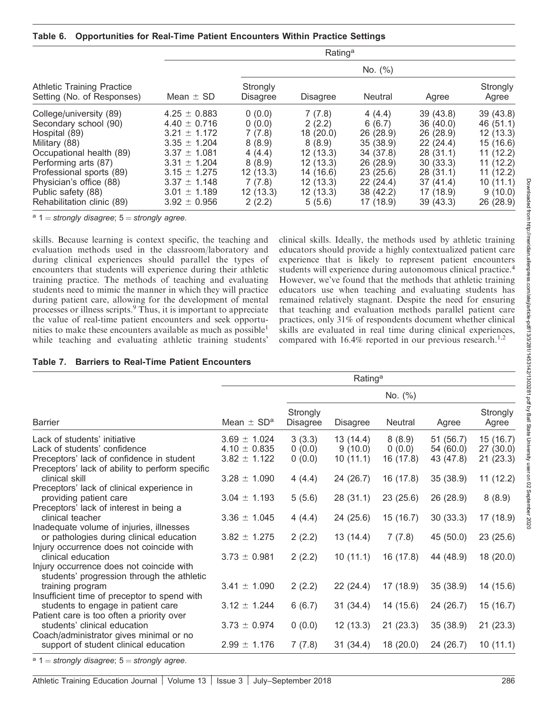|                                                                                                                                                                                                                                                   | Rating <sup>a</sup>                                                                                                                                                                                  |                                                                                                      |                                                                                                               |                                                                                                                        |                                                                                                                         |                                                                                                                        |
|---------------------------------------------------------------------------------------------------------------------------------------------------------------------------------------------------------------------------------------------------|------------------------------------------------------------------------------------------------------------------------------------------------------------------------------------------------------|------------------------------------------------------------------------------------------------------|---------------------------------------------------------------------------------------------------------------|------------------------------------------------------------------------------------------------------------------------|-------------------------------------------------------------------------------------------------------------------------|------------------------------------------------------------------------------------------------------------------------|
|                                                                                                                                                                                                                                                   |                                                                                                                                                                                                      |                                                                                                      |                                                                                                               | No. $(%)$                                                                                                              |                                                                                                                         |                                                                                                                        |
| <b>Athletic Training Practice</b><br>Setting (No. of Responses)                                                                                                                                                                                   | Mean $\pm$ SD                                                                                                                                                                                        | Strongly<br><b>Disagree</b>                                                                          | <b>Disagree</b>                                                                                               | <b>Neutral</b>                                                                                                         | Agree                                                                                                                   | Strongly<br>Agree                                                                                                      |
| College/university (89)<br>Secondary school (90)<br>Hospital (89)<br>Military (88)<br>Occupational health (89)<br>Performing arts (87)<br>Professional sports (89)<br>Physician's office (88)<br>Public safety (88)<br>Rehabilitation clinic (89) | $4.25 \pm 0.883$<br>$4.40 \pm 0.716$<br>$3.21 \pm 1.172$<br>$3.35 \pm 1.204$<br>$3.37 \pm 1.081$<br>$3.31 \pm 1.204$<br>$3.15 \pm 1.275$<br>$3.37 \pm 1.148$<br>$3.01 \pm 1.189$<br>$3.92 \pm 0.956$ | 0(0.0)<br>0(0.0)<br>7(7.8)<br>8(8.9)<br>4(4.4)<br>8(8.9)<br>12(13.3)<br>7(7.8)<br>12(13.3)<br>2(2.2) | 7(7.8)<br>2(2.2)<br>18(20.0)<br>8(8.9)<br>12(13.3)<br>12(13.3)<br>14 (16.6)<br>12(13.3)<br>12(13.3)<br>5(5.6) | 4(4.4)<br>6(6.7)<br>26 (28.9)<br>35 (38.9)<br>34 (37.8)<br>26 (28.9)<br>23(25.6)<br>22(24.4)<br>38 (42.2)<br>17 (18.9) | 39(43.8)<br>36(40.0)<br>26 (28.9)<br>22(24.4)<br>28(31.1)<br>30(33.3)<br>28(31.1)<br>37(41.4)<br>17 (18.9)<br>39 (43.3) | 39(43.8)<br>46 (51.1)<br>12(13.3)<br>15 (16.6)<br>11(12.2)<br>11(12.2)<br>11(12.2)<br>10(11.1)<br>9(10.0)<br>26 (28.9) |

 $a =$  1 = strongly disagree; 5 = strongly agree.

skills. Because learning is context specific, the teaching and evaluation methods used in the classroom/laboratory and during clinical experiences should parallel the types of encounters that students will experience during their athletic training practice. The methods of teaching and evaluating students need to mimic the manner in which they will practice during patient care, allowing for the development of mental processes or illness scripts.<sup>9</sup> Thus, it is important to appreciate the value of real-time patient encounters and seek opportunities to make these encounters available as much as possible<sup>1</sup> while teaching and evaluating athletic training students'

clinical skills. Ideally, the methods used by athletic training educators should provide a highly contextualized patient care experience that is likely to represent patient encounters students will experience during autonomous clinical practice.<sup>4</sup> However, we've found that the methods that athletic training educators use when teaching and evaluating students has remained relatively stagnant. Despite the need for ensuring that teaching and evaluation methods parallel patient care practices, only 31% of respondents document whether clinical skills are evaluated in real time during clinical experiences, compared with  $16.4\%$  reported in our previous research.<sup>1,2</sup>

#### Table 7. Barriers to Real-Time Patient Encounters

|                                                                                                                                                              | Rating <sup>a</sup>                                      |                             |                                 |                               |                                     |                                  |
|--------------------------------------------------------------------------------------------------------------------------------------------------------------|----------------------------------------------------------|-----------------------------|---------------------------------|-------------------------------|-------------------------------------|----------------------------------|
|                                                                                                                                                              |                                                          |                             |                                 | No. $(%)$                     |                                     |                                  |
| <b>Barrier</b>                                                                                                                                               | Mean $\pm$ SD <sup>a</sup>                               | Strongly<br><b>Disagree</b> | <b>Disagree</b>                 | Neutral                       | Agree                               | Strongly<br>Agree                |
| Lack of students' initiative<br>Lack of students' confidence<br>Preceptors' lack of confidence in student<br>Preceptors' lack of ability to perform specific | $3.69 \pm 1.024$<br>$4.10 \pm 0.835$<br>$3.82 \pm 1.122$ | 3(3.3)<br>0(0.0)<br>0(0.0)  | 13(14.4)<br>9(10.0)<br>10(11.1) | 8(8.9)<br>0(0.0)<br>16 (17.8) | 51 (56.7)<br>54 (60.0)<br>43 (47.8) | 15(16.7)<br>27(30.0)<br>21(23.3) |
| clinical skill<br>Preceptors' lack of clinical experience in<br>providing patient care<br>Preceptors' lack of interest in being a                            | $3.28 \pm 1.090$<br>$3.04 \pm 1.193$                     | 4(4.4)<br>5(5.6)            | 24 (26.7)<br>28(31.1)           | 16 (17.8)<br>23(25.6)         | 35 (38.9)<br>26 (28.9)              | 11(12.2)<br>8(8.9)               |
| clinical teacher<br>Inadequate volume of injuries, illnesses<br>or pathologies during clinical education<br>Injury occurrence does not coincide with         | $3.36 \pm 1.045$<br>$3.82 \pm 1.275$                     | 4(4.4)<br>2(2.2)            | 24(25.6)<br>13 (14.4)           | 15 (16.7)<br>7(7.8)           | 30(33.3)<br>45 (50.0)               | 17 (18.9)<br>23(25.6)            |
| clinical education<br>Injury occurrence does not coincide with<br>students' progression through the athletic                                                 | $3.73 \pm 0.981$                                         | 2(2.2)                      | 10(11.1)                        | 16 (17.8)                     | 44 (48.9)                           | 18(20.0)                         |
| training program<br>Insufficient time of preceptor to spend with<br>students to engage in patient care<br>Patient care is too often a priority over          | $3.41 \pm 1.090$<br>$3.12 \pm 1.244$                     | 2(2.2)<br>6(6.7)            | 22(24.4)<br>31(34.4)            | 17 (18.9)<br>14 (15.6)        | 35 (38.9)<br>24 (26.7)              | 14 (15.6)<br>15(16.7)            |
| students' clinical education<br>Coach/administrator gives minimal or no<br>support of student clinical education                                             | $3.73 \pm 0.974$<br>$2.99 \pm 1.176$                     | 0(0.0)<br>7(7.8)            | 12(13.3)<br>31(34.4)            | 21(23.3)<br>18 (20.0)         | 35 (38.9)<br>24 (26.7)              | 21(23.3)<br>10(11.1)             |
| $a_1$ $\leq$ $a$ trangly discorses: $5$ $\leq$ $a$ trangly garage                                                                                            |                                                          |                             |                                 |                               |                                     |                                  |

strongly disagree;  $5 =$  strongly agree.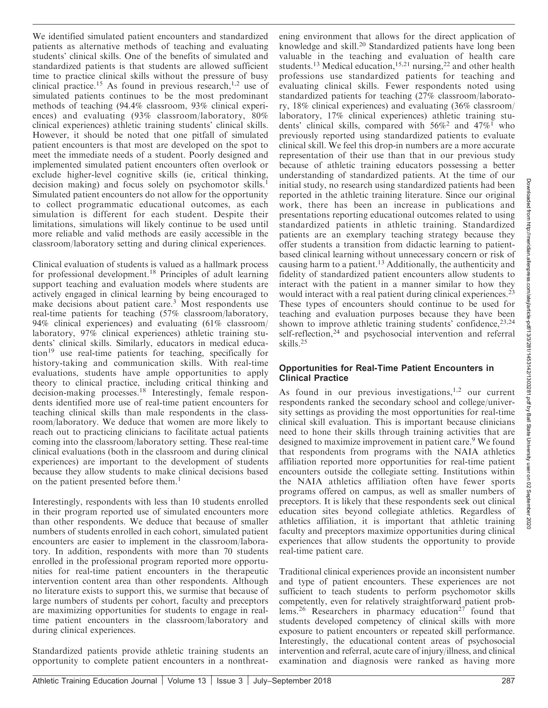We identified simulated patient encounters and standardized patients as alternative methods of teaching and evaluating students' clinical skills. One of the benefits of simulated and standardized patients is that students are allowed sufficient time to practice clinical skills without the pressure of busy clinical practice.<sup>15</sup> As found in previous research,<sup>1,2</sup> use of simulated patients continues to be the most predominant methods of teaching (94.4% classroom, 93% clinical experiences) and evaluating (93% classroom/laboratory, 80% clinical experiences) athletic training students' clinical skills. However, it should be noted that one pitfall of simulated patient encounters is that most are developed on the spot to meet the immediate needs of a student. Poorly designed and implemented simulated patient encounters often overlook or exclude higher-level cognitive skills (ie, critical thinking, decision making) and focus solely on psychomotor skills.<sup>1</sup> Simulated patient encounters do not allow for the opportunity to collect programmatic educational outcomes, as each simulation is different for each student. Despite their limitations, simulations will likely continue to be used until more reliable and valid methods are easily accessible in the classroom/laboratory setting and during clinical experiences.

Clinical evaluation of students is valued as a hallmark process for professional development.<sup>18</sup> Principles of adult learning support teaching and evaluation models where students are actively engaged in clinical learning by being encouraged to make decisions about patient care.<sup>3</sup> Most respondents use real-time patients for teaching (57% classroom/laboratory, 94% clinical experiences) and evaluating (61% classroom/ laboratory, 97% clinical experiences) athletic training students' clinical skills. Similarly, educators in medical education<sup>19</sup> use real-time patients for teaching, specifically for history-taking and communication skills. With real-time evaluations, students have ample opportunities to apply theory to clinical practice, including critical thinking and decision-making processes.<sup>18</sup> Interestingly, female respondents identified more use of real-time patient encounters for teaching clinical skills than male respondents in the classroom/laboratory. We deduce that women are more likely to reach out to practicing clinicians to facilitate actual patients coming into the classroom/laboratory setting. These real-time clinical evaluations (both in the classroom and during clinical experiences) are important to the development of students because they allow students to make clinical decisions based on the patient presented before them.<sup>1</sup>

Interestingly, respondents with less than 10 students enrolled in their program reported use of simulated encounters more than other respondents. We deduce that because of smaller numbers of students enrolled in each cohort, simulated patient encounters are easier to implement in the classroom/laboratory. In addition, respondents with more than 70 students enrolled in the professional program reported more opportunities for real-time patient encounters in the therapeutic intervention content area than other respondents. Although no literature exists to support this, we surmise that because of large numbers of students per cohort, faculty and preceptors are maximizing opportunities for students to engage in realtime patient encounters in the classroom/laboratory and during clinical experiences.

Standardized patients provide athletic training students an opportunity to complete patient encounters in a nonthreatening environment that allows for the direct application of knowledge and skill.<sup>20</sup> Standardized patients have long been valuable in the teaching and evaluation of health care students.<sup>13</sup> Medical education,<sup>15,21</sup> nursing,<sup>22</sup> and other health professions use standardized patients for teaching and evaluating clinical skills. Fewer respondents noted using standardized patients for teaching (27% classroom/laboratory, 18% clinical experiences) and evaluating (36% classroom/ laboratory, 17% clinical experiences) athletic training students' clinical skills, compared with  $56\%^2$  and  $47\%^{\dagger}$  who previously reported using standardized patients to evaluate clinical skill. We feel this drop-in numbers are a more accurate representation of their use than that in our previous study because of athletic training educators possessing a better understanding of standardized patients. At the time of our initial study, no research using standardized patients had been reported in the athletic training literature. Since our original work, there has been an increase in publications and presentations reporting educational outcomes related to using standardized patients in athletic training. Standardized patients are an exemplary teaching strategy because they offer students a transition from didactic learning to patientbased clinical learning without unnecessary concern or risk of causing harm to a patient.<sup>13</sup> Additionally, the authenticity and fidelity of standardized patient encounters allow students to interact with the patient in a manner similar to how they would interact with a real patient during clinical experiences.<sup>23</sup> These types of encounters should continue to be used for teaching and evaluation purposes because they have been shown to improve athletic training students' confidence, <sup>23,24</sup> self-reflection,<sup>24</sup> and psychosocial intervention and referral skills.<sup>25</sup>

#### Opportunities for Real-Time Patient Encounters in Clinical Practice

As found in our previous investigations,<sup>1,2</sup> our current respondents ranked the secondary school and college/university settings as providing the most opportunities for real-time clinical skill evaluation. This is important because clinicians need to hone their skills through training activities that are designed to maximize improvement in patient care.<sup>9</sup> We found that respondents from programs with the NAIA athletics affiliation reported more opportunities for real-time patient encounters outside the collegiate setting. Institutions within the NAIA athletics affiliation often have fewer sports programs offered on campus, as well as smaller numbers of preceptors. It is likely that these respondents seek out clinical education sites beyond collegiate athletics. Regardless of athletics affiliation, it is important that athletic training faculty and preceptors maximize opportunities during clinical experiences that allow students the opportunity to provide real-time patient care.

Traditional clinical experiences provide an inconsistent number and type of patient encounters. These experiences are not sufficient to teach students to perform psychomotor skills competently, even for relatively straightforward patient problems.<sup>26</sup> Researchers in pharmacy education<sup>27</sup> found that students developed competency of clinical skills with more exposure to patient encounters or repeated skill performance. Interestingly, the educational content areas of psychosocial intervention and referral, acute care of injury/illness, and clinical examination and diagnosis were ranked as having more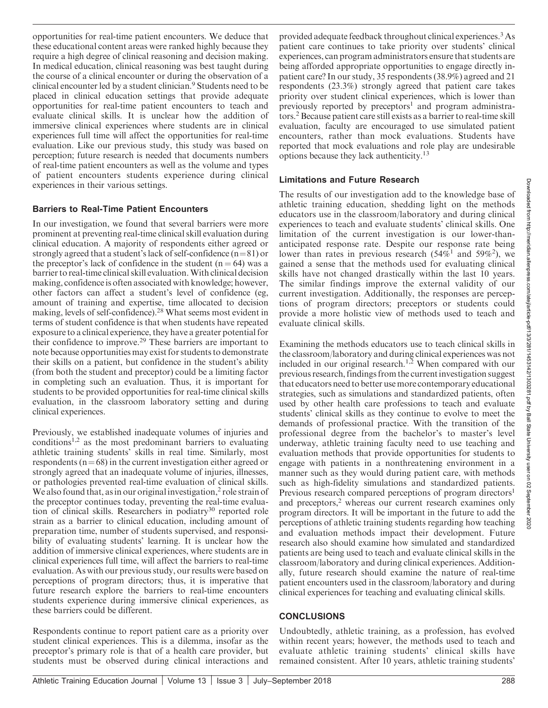opportunities for real-time patient encounters. We deduce that these educational content areas were ranked highly because they require a high degree of clinical reasoning and decision making. In medical education, clinical reasoning was best taught during the course of a clinical encounter or during the observation of a clinical encounter led by a student clinician.<sup>9</sup> Students need to be placed in clinical education settings that provide adequate opportunities for real-time patient encounters to teach and evaluate clinical skills. It is unclear how the addition of immersive clinical experiences where students are in clinical experiences full time will affect the opportunities for real-time evaluation. Like our previous study, this study was based on perception; future research is needed that documents numbers of real-time patient encounters as well as the volume and types of patient encounters students experience during clinical experiences in their various settings.

## Barriers to Real-Time Patient Encounters

In our investigation, we found that several barriers were more prominent at preventing real-time clinical skill evaluation during clinical education. A majority of respondents either agreed or strongly agreed that a student's lack of self-confidence  $(n=81)$  or the preceptor's lack of confidence in the student  $(n = 64)$  was a barrier to real-time clinical skill evaluation.With clinical decision making, confidence is often associated with knowledge; however, other factors can affect a student's level of confidence (eg, amount of training and expertise, time allocated to decision making, levels of self-confidence).28 What seems most evident in terms of student confidence is that when students have repeated exposure to a clinical experience, they have a greater potential for their confidence to improve.29 These barriers are important to note because opportunities may exist for students to demonstrate their skills on a patient, but confidence in the student's ability (from both the student and preceptor) could be a limiting factor in completing such an evaluation. Thus, it is important for students to be provided opportunities for real-time clinical skills evaluation, in the classroom laboratory setting and during clinical experiences.

Previously, we established inadequate volumes of injuries and conditions<sup>1,2</sup> as the most predominant barriers to evaluating athletic training students' skills in real time. Similarly, most respondents ( $n=68$ ) in the current investigation either agreed or strongly agreed that an inadequate volume of injuries, illnesses, or pathologies prevented real-time evaluation of clinical skills. We also found that, as in our original investigation, $<sup>2</sup>$  role strain of</sup> the preceptor continues today, preventing the real-time evaluation of clinical skills. Researchers in podiatry<sup>30</sup> reported role strain as a barrier to clinical education, including amount of preparation time, number of students supervised, and responsibility of evaluating students' learning. It is unclear how the addition of immersive clinical experiences, where students are in clinical experiences full time, will affect the barriers to real-time evaluation. As with our previous study, our results were based on perceptions of program directors; thus, it is imperative that future research explore the barriers to real-time encounters students experience during immersive clinical experiences, as these barriers could be different.

Respondents continue to report patient care as a priority over student clinical experiences. This is a dilemma, insofar as the preceptor's primary role is that of a health care provider, but students must be observed during clinical interactions and

provided adequate feedback throughout clinical experiences.3As patient care continues to take priority over students' clinical experiences, can program administrators ensure that students are being afforded appropriate opportunities to engage directly inpatient care? In our study, 35 respondents (38.9%) agreed and 21 respondents (23.3%) strongly agreed that patient care takes priority over student clinical experiences, which is lower than previously reported by preceptors<sup>1</sup> and program administrators.2Because patient care still exists as a barrier to real-time skill evaluation, faculty are encouraged to use simulated patient encounters, rather than mock evaluations. Students have reported that mock evaluations and role play are undesirable options because they lack authenticity.13

## Limitations and Future Research

The results of our investigation add to the knowledge base of athletic training education, shedding light on the methods educators use in the classroom/laboratory and during clinical experiences to teach and evaluate students' clinical skills. One limitation of the current investigation is our lower-thananticipated response rate. Despite our response rate being lower than rates in previous research (54%<sup>1</sup> and 59%<sup>2</sup>), we gained a sense that the methods used for evaluating clinical skills have not changed drastically within the last 10 years. The similar findings improve the external validity of our current investigation. Additionally, the responses are perceptions of program directors; preceptors or students could provide a more holistic view of methods used to teach and evaluate clinical skills.

Examining the methods educators use to teach clinical skills in the classroom/laboratory and during clinical experiences was not included in our original research.<sup>1,2</sup> When compared with our previous research, findings from the current investigation suggest that educators need to better usemore contemporary educational strategies, such as simulations and standardized patients, often used by other health care professions to teach and evaluate students' clinical skills as they continue to evolve to meet the demands of professional practice. With the transition of the professional degree from the bachelor's to master's level underway, athletic training faculty need to use teaching and evaluation methods that provide opportunities for students to engage with patients in a nonthreatening environment in a manner such as they would during patient care, with methods such as high-fidelity simulations and standardized patients. Previous research compared perceptions of program directors<sup>1</sup> and preceptors,<sup>2</sup> whereas our current research examines only program directors. It will be important in the future to add the perceptions of athletic training students regarding how teaching and evaluation methods impact their development. Future research also should examine how simulated and standardized patients are being used to teach and evaluate clinical skills in the classroom/laboratory and during clinical experiences. Additionally, future research should examine the nature of real-time patient encounters used in the classroom/laboratory and during clinical experiences for teaching and evaluating clinical skills.

# **CONCLUSIONS**

Undoubtedly, athletic training, as a profession, has evolved within recent years; however, the methods used to teach and evaluate athletic training students' clinical skills have remained consistent. After 10 years, athletic training students'